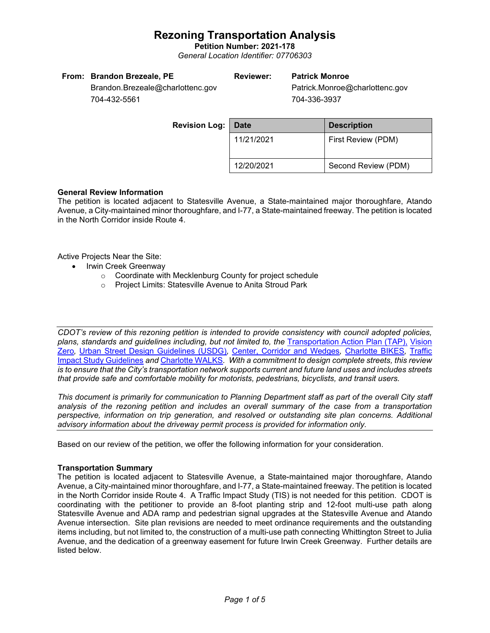## **Rezoning Transportation Analysis**

**Petition Number: 2021-178** *General Location Identifier: 07706303*

|  |  | From: Brandon Brezeale, PE |  |
|--|--|----------------------------|--|
|--|--|----------------------------|--|

## **Reviewer: Patrick Monroe**

Patrick.Monroe@charlottenc.gov 704-336-3937

Brandon.Brezeale@charlottenc.gov 704-432-5561

| <b>Revision Log:</b> | <b>Date</b> | <b>Description</b>  |
|----------------------|-------------|---------------------|
|                      | 11/21/2021  | First Review (PDM)  |
|                      | 12/20/2021  | Second Review (PDM) |

### **General Review Information**

The petition is located adjacent to Statesville Avenue, a State-maintained major thoroughfare, Atando Avenue, a City-maintained minor thoroughfare, and I-77, a State-maintained freeway. The petition is located in the North Corridor inside Route 4.

Active Projects Near the Site:

- Irwin Creek Greenway
	- o Coordinate with Mecklenburg County for project schedule
	- o Project Limits: Statesville Avenue to Anita Stroud Park

*CDOT's review of this rezoning petition is intended to provide consistency with council adopted policies, plans, standards and guidelines including, but not limited to, the* [Transportation Action Plan \(TAP\),](https://charlottenc.gov/Transportation/Programs/Pages/TransportationActionPlan.aspx) [Vision](https://charlottenc.gov/VisionZero/Pages/VisionZero.aspx)  [Zero](https://charlottenc.gov/VisionZero/Pages/VisionZero.aspx)*,* [Urban Street Design Guidelines \(USDG\)](https://charlottenc.gov/Transportation/PlansProjects/Documents/USDG%20Full%20Document.pdf)*,* [Center, Corridor and Wedges](http://ww.charmeck.org/Planning/Land%20Use%20Planning/CentersCorridorsWedges/CentersCorridorsWedges(Adopted).pdf)*,* [Charlotte BIKES](https://charlottenc.gov/Transportation/Programs/Pages/Bicycle.aspx)*,* [Traffic](https://charlottenc.gov/Transportation/Permits/Documents/TISProcessandGuildlines.pdf)  [Impact Study Guidelines](https://charlottenc.gov/Transportation/Permits/Documents/TISProcessandGuildlines.pdf) *and* [Charlotte WALKS](https://charlottenc.gov/Transportation/Programs/Pages/CharlotteWalks.aspx)*. With a commitment to design complete streets, this review is to ensure that the City's transportation network supports current and future land uses and includes streets that provide safe and comfortable mobility for motorists, pedestrians, bicyclists, and transit users.*

*This document is primarily for communication to Planning Department staff as part of the overall City staff analysis of the rezoning petition and includes an overall summary of the case from a transportation perspective, information on trip generation, and resolved or outstanding site plan concerns. Additional advisory information about the driveway permit process is provided for information only.*

Based on our review of the petition, we offer the following information for your consideration.

### **Transportation Summary**

The petition is located adjacent to Statesville Avenue, a State-maintained major thoroughfare, Atando Avenue, a City-maintained minor thoroughfare, and I-77, a State-maintained freeway. The petition is located in the North Corridor inside Route 4. A Traffic Impact Study (TIS) is not needed for this petition. CDOT is coordinating with the petitioner to provide an 8-foot planting strip and 12-foot multi-use path along Statesville Avenue and ADA ramp and pedestrian signal upgrades at the Statesville Avenue and Atando Avenue intersection. Site plan revisions are needed to meet ordinance requirements and the outstanding items including, but not limited to, the construction of a multi-use path connecting Whittington Street to Julia Avenue, and the dedication of a greenway easement for future Irwin Creek Greenway. Further details are listed below.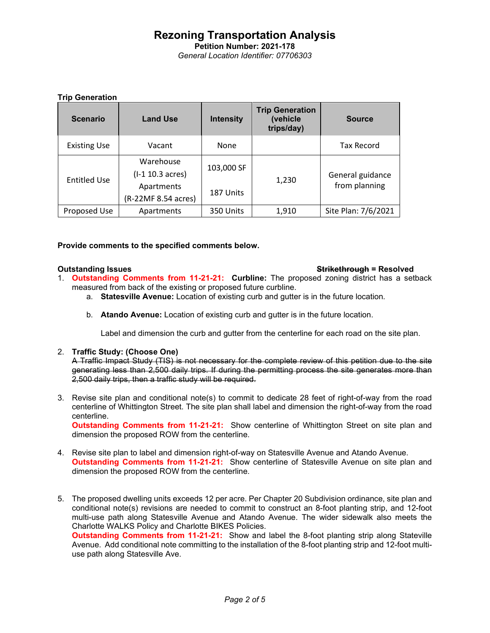### **Rezoning Transportation Analysis Petition Number: 2021-178** *General Location Identifier: 07706303*

### **Trip Generation**

| <b>Scenario</b>     | <b>Land Use</b>                   | <b>Intensity</b> | <b>Trip Generation</b><br>(vehicle<br>trips/day) | <b>Source</b>                     |
|---------------------|-----------------------------------|------------------|--------------------------------------------------|-----------------------------------|
| <b>Existing Use</b> | Vacant                            | <b>None</b>      |                                                  | <b>Tax Record</b>                 |
| <b>Entitled Use</b> | Warehouse<br>$(I-1 10.3 acres)$   | 103,000 SF       | 1,230                                            | General guidance<br>from planning |
|                     | Apartments<br>(R-22MF 8.54 acres) | 187 Units        |                                                  |                                   |
| Proposed Use        | Apartments                        | 350 Units        | 1,910                                            | Site Plan: 7/6/2021               |

### **Provide comments to the specified comments below.**

### **Outstanding Issues Strikethrough = Resolved**

- 1. **Outstanding Comments from 11-21-21: Curbline:** The proposed zoning district has a setback measured from back of the existing or proposed future curbline.
	- a. **Statesville Avenue:** Location of existing curb and gutter is in the future location.
	- b. **Atando Avenue:** Location of existing curb and gutter is in the future location.

Label and dimension the curb and gutter from the centerline for each road on the site plan.

### 2. **Traffic Study: (Choose One)**

A Traffic Impact Study (TIS) is not necessary for the complete review of this petition due to the site generating less than 2,500 daily trips. If during the permitting process the site generates more than 2,500 daily trips, then a traffic study will be required.

3. Revise site plan and conditional note(s) to commit to dedicate 28 feet of right-of-way from the road centerline of Whittington Street. The site plan shall label and dimension the right-of-way from the road centerline.

**Outstanding Comments from 11-21-21:** Show centerline of Whittington Street on site plan and dimension the proposed ROW from the centerline.

- 4. Revise site plan to label and dimension right-of-way on Statesville Avenue and Atando Avenue. **Outstanding Comments from 11-21-21:** Show centerline of Statesville Avenue on site plan and dimension the proposed ROW from the centerline.
- 5. The proposed dwelling units exceeds 12 per acre. Per Chapter 20 Subdivision ordinance, site plan and conditional note(s) revisions are needed to commit to construct an 8-foot planting strip, and 12-foot multi-use path along Statesville Avenue and Atando Avenue. The wider sidewalk also meets the Charlotte WALKS Policy and Charlotte BIKES Policies.

**Outstanding Comments from 11-21-21:** Show and label the 8-foot planting strip along Stateville Avenue. Add conditional note committing to the installation of the 8-foot planting strip and 12-foot multiuse path along Statesville Ave.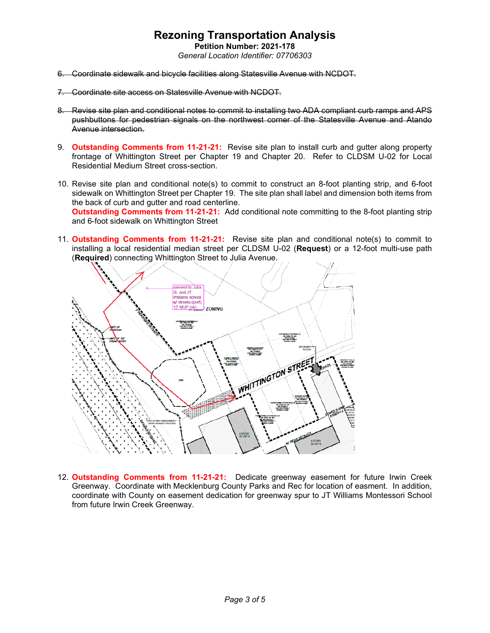## **Rezoning Transportation Analysis**

**Petition Number: 2021-178** *General Location Identifier: 07706303*

- 6. Coordinate sidewalk and bicycle facilities along Statesville Avenue with NCDOT.
- 7. Coordinate site access on Statesville Avenue with NCDOT.
- 8. Revise site plan and conditional notes to commit to installing two ADA compliant curb ramps and APS pushbuttons for pedestrian signals on the northwest corner of the Statesville Avenue and Atando Avenue intersection.
- 9. **Outstanding Comments from 11-21-21:** Revise site plan to install curb and gutter along property frontage of Whittington Street per Chapter 19 and Chapter 20. Refer to CLDSM U-02 for Local Residential Medium Street cross-section.
- 10. Revise site plan and conditional note(s) to commit to construct an 8-foot planting strip, and 6-foot sidewalk on Whittington Street per Chapter 19. The site plan shall label and dimension both items from the back of curb and gutter and road centerline. **Outstanding Comments from 11-21-21:** Add conditional note committing to the 8-foot planting strip and 6-foot sidewalk on Whittington Street
- 11. **Outstanding Comments from 11-21-21:** Revise site plan and conditional note(s) to commit to installing a local residential median street per CLDSM U-02 (**Request**) or a 12-foot multi-use path (**Required**) connecting Whittington Street to Julia Avenue.



12. **Outstanding Comments from 11-21-21:** Dedicate greenway easement for future Irwin Creek Greenway. Coordinate with Mecklenburg County Parks and Rec for location of easment. In addition, coordinate with County on easement dedication for greenway spur to JT Williams Montessori School from future Irwin Creek Greenway.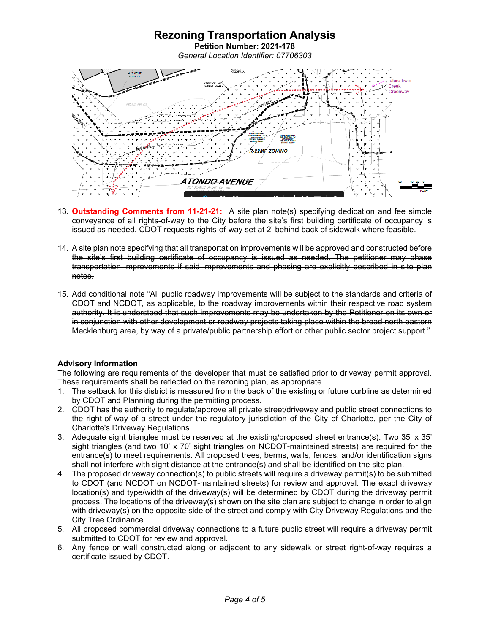

- 13. **Outstanding Comments from 11-21-21:** A site plan note(s) specifying dedication and fee simple conveyance of all rights-of-way to the City before the site's first building certificate of occupancy is issued as needed. CDOT requests rights-of-way set at 2' behind back of sidewalk where feasible.
- 14. A site plan note specifying that all transportation improvements will be approved and constructed before the site's first building certificate of occupancy is issued as needed. The petitioner may phase transportation improvements if said improvements and phasing are explicitly described in site plan notes.
- 15. Add conditional note "All public roadway improvements will be subject to the standards and criteria of CDOT and NCDOT, as applicable, to the roadway improvements within their respective road system authority. It is understood that such improvements may be undertaken by the Petitioner on its own or in conjunction with other development or roadway projects taking place within the broad north eastern Mecklenburg area, by way of a private/public partnership effort or other public sector project support."

### **Advisory Information**

The following are requirements of the developer that must be satisfied prior to driveway permit approval. These requirements shall be reflected on the rezoning plan, as appropriate.

- 1. The setback for this district is measured from the back of the existing or future curbline as determined by CDOT and Planning during the permitting process.
- 2. CDOT has the authority to regulate/approve all private street/driveway and public street connections to the right-of-way of a street under the regulatory jurisdiction of the City of Charlotte, per the City of Charlotte's Driveway Regulations.
- 3. Adequate sight triangles must be reserved at the existing/proposed street entrance(s). Two 35' x 35' sight triangles (and two 10' x 70' sight triangles on NCDOT-maintained streets) are required for the entrance(s) to meet requirements. All proposed trees, berms, walls, fences, and/or identification signs shall not interfere with sight distance at the entrance(s) and shall be identified on the site plan.
- 4. The proposed driveway connection(s) to public streets will require a driveway permit(s) to be submitted to CDOT (and NCDOT on NCDOT-maintained streets) for review and approval. The exact driveway location(s) and type/width of the driveway(s) will be determined by CDOT during the driveway permit process. The locations of the driveway(s) shown on the site plan are subject to change in order to align with driveway(s) on the opposite side of the street and comply with City Driveway Regulations and the City Tree Ordinance.
- 5. All proposed commercial driveway connections to a future public street will require a driveway permit submitted to CDOT for review and approval.
- 6. Any fence or wall constructed along or adjacent to any sidewalk or street right-of-way requires a certificate issued by CDOT.